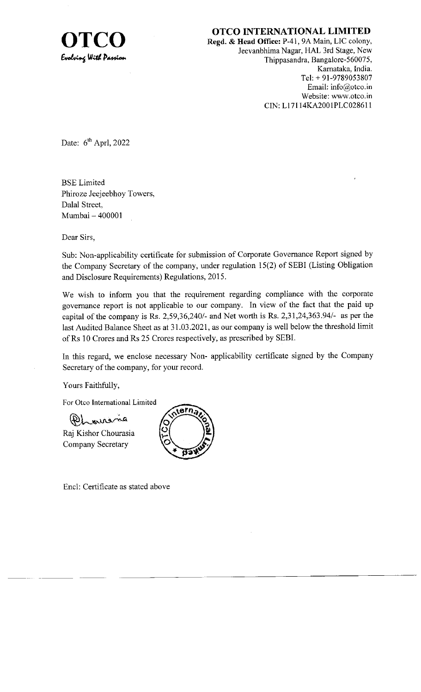

 $\prod_{\text{Regd. & Head. 60} \text{Office: P-41, 9A Main, LIC colony,}} \prod_{\text{C. 10}}$ Regd. & Head Office: P-41, 9A Main, LIC colony, Jeevanbhima Nagar, HAL 3rd Stage, New Thippasandra, Bangalore-560075, Karnataka, India. Tel: + 91-9789053807 Email: info@otco.in Website: www.otco.in CIN: L17114KA2001PLC028611

Date:  $6^{\text{th}}$  Aprl, 2022

BSE Limited Phiroze Jeejeebhoy Towers, Dalal Street, Mumbai - 400001

Dear Sirs,

Sub: Non-applicability certificate for submission of Corporate Govemance Report signed by the Company Secretary of the company, under regulation 15(2) of SEBI (Listing Obligation and Disclosure Requirements) Regulations, 2015.

We wish to inform you that the requirement regarding compliance with the corporate govemance report is not applicable to our company. In view of the fact that the paid up capital of the company is Rs. 2,59,36,240/- and Net worth is Rs. 2,31,24,363.94/- as per the last Audited Balance Sheet as at 31.03.2021, as our company is well below the threshold limit ofRs 10 Crores and Rs 25 Crores respectively, as prescribed by SEBI.

In this regard, we enclose necessary Non- applicability certificate signed by the Company Secretary of the company, for your record.

Yours Faithfully,

For Otco International Limited

 $R_{\rm max}$ 

Raj Kishor Chourasia Company Secretary



Encl: Certificate as stated above